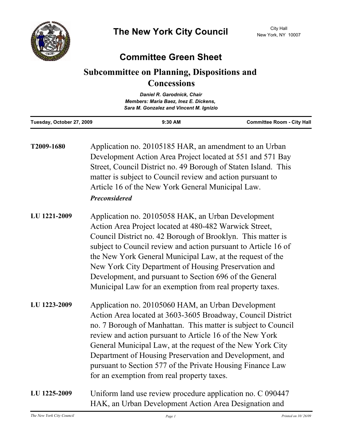

## **Committee Green Sheet**

## **Subcommittee on Planning, Dispositions and Concessions**

|                           | Daniel R. Garodnick, Chair              |                                   |
|---------------------------|-----------------------------------------|-----------------------------------|
|                           | Members: Maria Baez, Inez E. Dickens,   |                                   |
|                           | Sara M. Gonzalez and Vincent M. Ignizio |                                   |
| Tuesday, October 27, 2009 | $9:30$ AM                               | <b>Committee Room - City Hall</b> |

| T2009-1680   | Application no. 20105185 HAR, an amendment to an Urban<br>Development Action Area Project located at 551 and 571 Bay<br>Street, Council District no. 49 Borough of Staten Island. This<br>matter is subject to Council review and action pursuant to<br>Article 16 of the New York General Municipal Law.<br><b>Preconsidered</b>                                                                                                                                                         |
|--------------|-------------------------------------------------------------------------------------------------------------------------------------------------------------------------------------------------------------------------------------------------------------------------------------------------------------------------------------------------------------------------------------------------------------------------------------------------------------------------------------------|
| LU 1221-2009 | Application no. 20105058 HAK, an Urban Development<br>Action Area Project located at 480-482 Warwick Street,<br>Council District no. 42 Borough of Brooklyn. This matter is<br>subject to Council review and action pursuant to Article 16 of<br>the New York General Municipal Law, at the request of the<br>New York City Department of Housing Preservation and<br>Development, and pursuant to Section 696 of the General<br>Municipal Law for an exemption from real property taxes. |
| LU 1223-2009 | Application no. 20105060 HAM, an Urban Development<br>Action Area located at 3603-3605 Broadway, Council District<br>no. 7 Borough of Manhattan. This matter is subject to Council<br>review and action pursuant to Article 16 of the New York<br>General Municipal Law, at the request of the New York City<br>Department of Housing Preservation and Development, and<br>pursuant to Section 577 of the Private Housing Finance Law<br>for an exemption from real property taxes.       |
| LU 1225-2009 | Uniform land use review procedure application no. C 090447<br>HAK, an Urban Development Action Area Designation and                                                                                                                                                                                                                                                                                                                                                                       |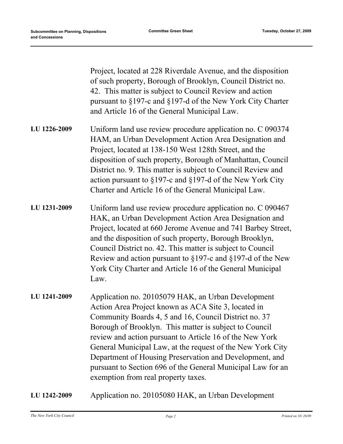|              | Project, located at 228 Riverdale Avenue, and the disposition<br>of such property, Borough of Brooklyn, Council District no.<br>42. This matter is subject to Council Review and action<br>pursuant to §197-c and §197-d of the New York City Charter<br>and Article 16 of the General Municipal Law.                                                                                                                                                                                                                   |
|--------------|-------------------------------------------------------------------------------------------------------------------------------------------------------------------------------------------------------------------------------------------------------------------------------------------------------------------------------------------------------------------------------------------------------------------------------------------------------------------------------------------------------------------------|
| LU 1226-2009 | Uniform land use review procedure application no. C 090374<br>HAM, an Urban Development Action Area Designation and<br>Project, located at 138-150 West 128th Street, and the<br>disposition of such property, Borough of Manhattan, Council<br>District no. 9. This matter is subject to Council Review and<br>action pursuant to $\S 197$ -c and $\S 197$ -d of the New York City<br>Charter and Article 16 of the General Municipal Law.                                                                             |
| LU 1231-2009 | Uniform land use review procedure application no. C 090467<br>HAK, an Urban Development Action Area Designation and<br>Project, located at 660 Jerome Avenue and 741 Barbey Street,<br>and the disposition of such property, Borough Brooklyn,<br>Council District no. 42. This matter is subject to Council<br>Review and action pursuant to $\S 197$ -c and $\S 197$ -d of the New<br>York City Charter and Article 16 of the General Municipal<br>Law.                                                               |
| LU 1241-2009 | Application no. 20105079 HAK, an Urban Development<br>Action Area Project known as ACA Site 3, located in<br>Community Boards 4, 5 and 16, Council District no. 37<br>Borough of Brooklyn. This matter is subject to Council<br>review and action pursuant to Article 16 of the New York<br>General Municipal Law, at the request of the New York City<br>Department of Housing Preservation and Development, and<br>pursuant to Section 696 of the General Municipal Law for an<br>exemption from real property taxes. |
| LU 1242-2009 | Application no. 20105080 HAK, an Urban Development                                                                                                                                                                                                                                                                                                                                                                                                                                                                      |